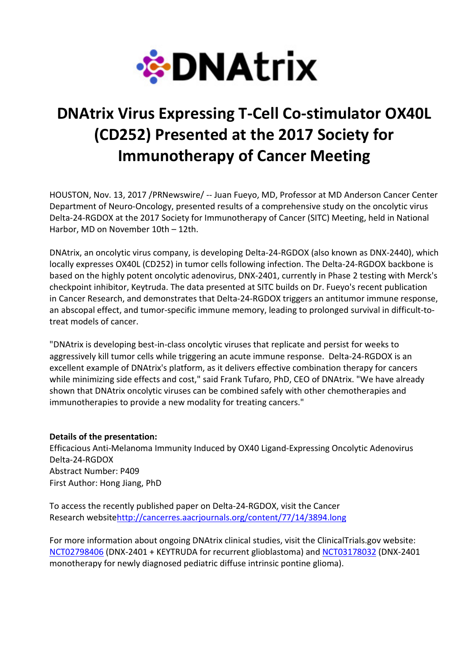

# DNAtrix Virus Expressing T-Cell Co-stimulator OX40L (CD252) Presented at the 2017 Society for Immunotherapy of Cancer Meeting

HOUSTON, Nov. 13, 2017 /PRNewswire/ -- Juan Fueyo, MD, Professor at MD Anderson Cancer Center Department of Neuro-Oncology, presented results of a comprehensive study on the oncolytic virus Delta-24-RGDOX at the 2017 Society for Immunotherapy of Cancer (SITC) Meeting, held in National Harbor, MD on November 10th – 12th.

DNAtrix, an oncolytic virus company, is developing Delta-24-RGDOX (also known as DNX-2440), which locally expresses OX40L (CD252) in tumor cells following infection. The Delta-24-RGDOX backbone is based on the highly potent oncolytic adenovirus, DNX-2401, currently in Phase 2 testing with Merck's checkpoint inhibitor, Keytruda. The data presented at SITC builds on Dr. Fueyo's recent publication in Cancer Research, and demonstrates that Delta-24-RGDOX triggers an antitumor immune response, an abscopal effect, and tumor-specific immune memory, leading to prolonged survival in difficult-totreat models of cancer.

"DNAtrix is developing best-in-class oncolytic viruses that replicate and persist for weeks to aggressively kill tumor cells while triggering an acute immune response. Delta-24-RGDOX is an excellent example of DNAtrix's platform, as it delivers effective combination therapy for cancers while minimizing side effects and cost," said Frank Tufaro, PhD, CEO of DNAtrix. "We have already shown that DNAtrix oncolytic viruses can be combined safely with other chemotherapies and immunotherapies to provide a new modality for treating cancers."

## Details of the presentation:

Efficacious Anti-Melanoma Immunity Induced by OX40 Ligand-Expressing Oncolytic Adenovirus Delta-24-RGDOX Abstract Number: P409 First Author: Hong Jiang, PhD

To access the recently published paper on Delta-24-RGDOX, visit the Cancer Research websitehttp://cancerres.aacrjournals.org/content/77/14/3894.long

For more information about ongoing DNAtrix clinical studies, visit the ClinicalTrials.gov website: NCT02798406 (DNX-2401 + KEYTRUDA for recurrent glioblastoma) and NCT03178032 (DNX-2401 monotherapy for newly diagnosed pediatric diffuse intrinsic pontine glioma).